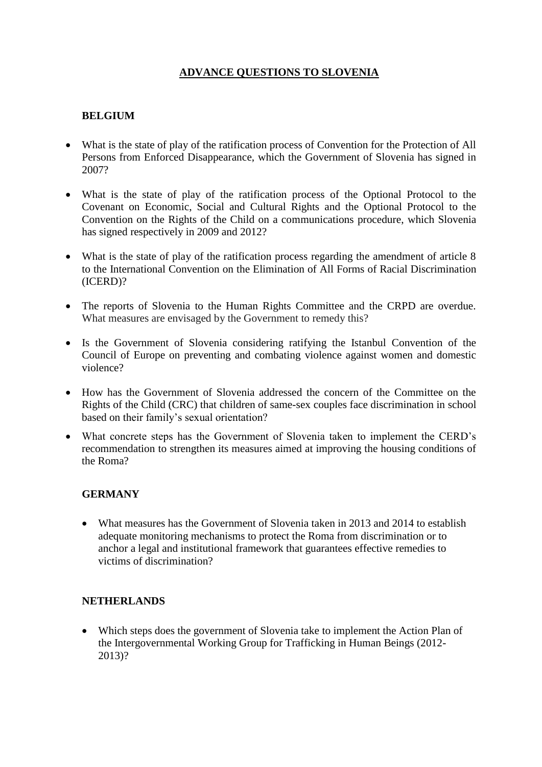# **ADVANCE QUESTIONS TO SLOVENIA**

# **BELGIUM**

- What is the state of play of the ratification process of Convention for the Protection of All Persons from Enforced Disappearance, which the Government of Slovenia has signed in 2007?
- What is the state of play of the ratification process of the Optional Protocol to the Covenant on Economic, Social and Cultural Rights and the Optional Protocol to the Convention on the Rights of the Child on a communications procedure, which Slovenia has signed respectively in 2009 and 2012?
- What is the state of play of the ratification process regarding the amendment of article 8 to the International Convention on the Elimination of All Forms of Racial Discrimination (ICERD)?
- The reports of Slovenia to the Human Rights Committee and the CRPD are overdue. What measures are envisaged by the Government to remedy this?
- Is the Government of Slovenia considering ratifying the Istanbul Convention of the Council of Europe on preventing and combating violence against women and domestic violence?
- How has the Government of Slovenia addressed the concern of the Committee on the Rights of the Child (CRC) that children of same-sex couples face discrimination in school based on their family's sexual orientation?
- What concrete steps has the Government of Slovenia taken to implement the CERD's recommendation to strengthen its measures aimed at improving the housing conditions of the Roma?

# **GERMANY**

• What measures has the Government of Slovenia taken in 2013 and 2014 to establish adequate monitoring mechanisms to protect the Roma from discrimination or to anchor a legal and institutional framework that guarantees effective remedies to victims of discrimination?

#### **NETHERLANDS**

 Which steps does the government of Slovenia take to implement the Action Plan of the Intergovernmental Working Group for Trafficking in Human Beings (2012- 2013)?